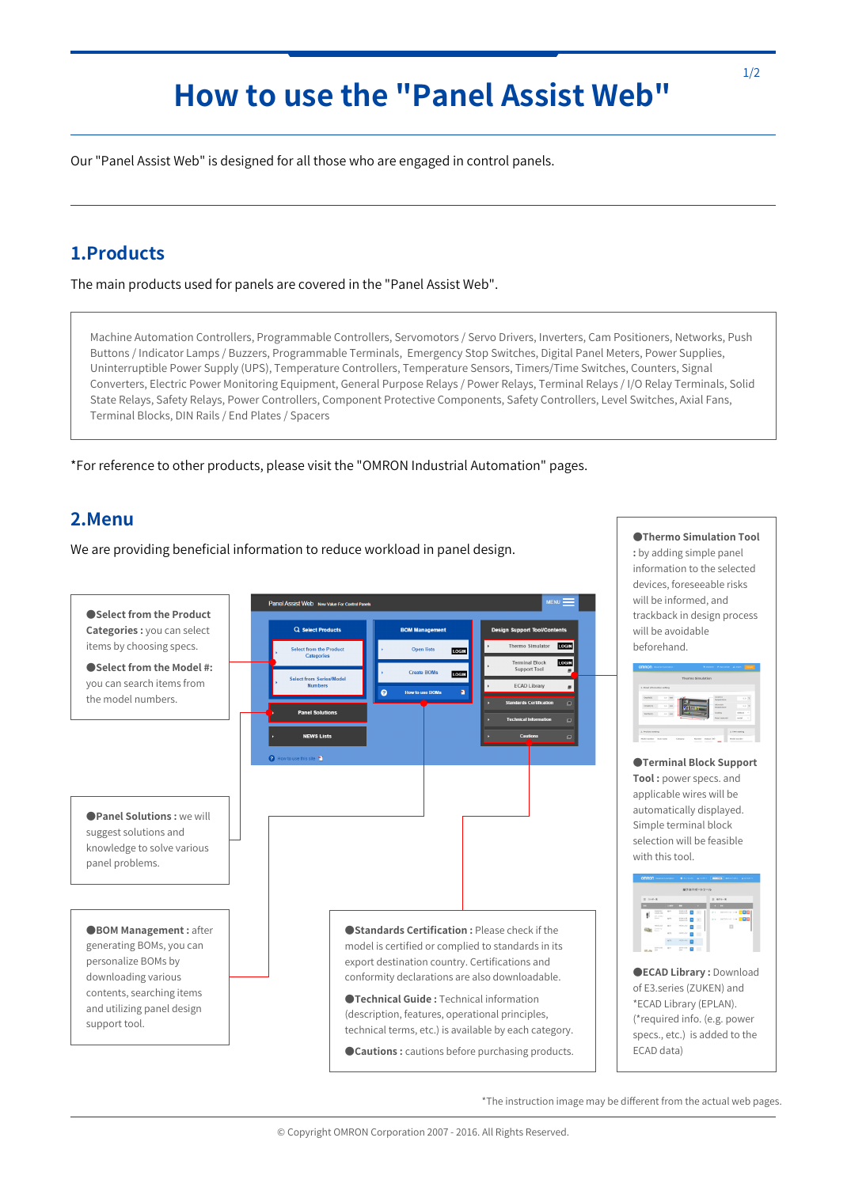## **How to use the "Panel Assist Web"**

Our "Panel Assist Web" is designed for all those who are engaged in control panels.

## **1.Products**

The main products used for panels are covered in the "Panel Assist Web".

Machine Automation Controllers, Programmable Controllers, Servomotors / Servo Drivers, Inverters, Cam Positioners, Networks, Push Buttons / Indicator Lamps / Buzzers, Programmable Terminals, Emergency Stop Switches, Digital Panel Meters, Power Supplies, Uninterruptible Power Supply (UPS), Temperature Controllers, Temperature Sensors, Timers/Time Switches, Counters, Signal Converters, Electric Power Monitoring Equipment, General Purpose Relays / Power Relays, Terminal Relays / I/O Relay Terminals, Solid State Relays, Safety Relays, Power Controllers, Component Protective Components, Safety Controllers, Level Switches, Axial Fans, Terminal Blocks, DIN Rails / End Plates / Spacers

\*For reference to other products, please visit the "OMRON Industrial Automation" pages.

## **2.Menu**

We are providing beneficial information to reduce workload in panel design.



\*The instruction image may be different from the actual web pages.

**●Thermo Simulation Tool :** by adding simple panel